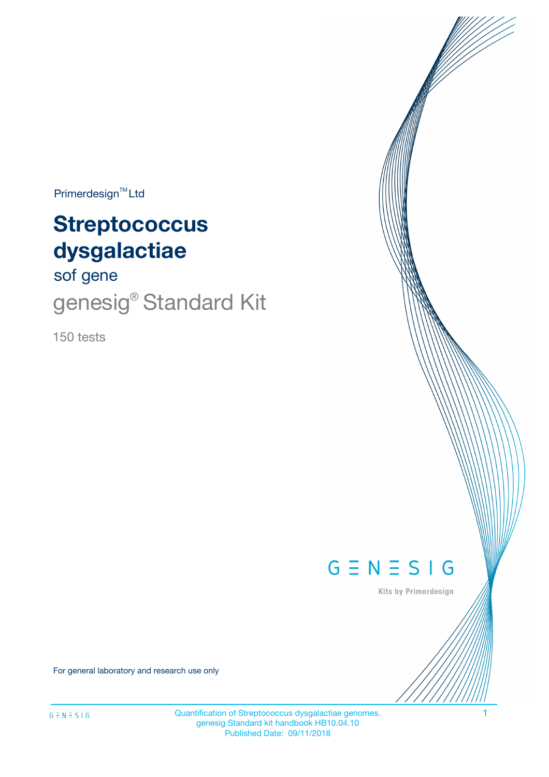$Primerdesign^{\text{TM}}Ltd$ 

# **Streptococcus dysgalactiae**

sof gene

genesig<sup>®</sup> Standard Kit

150 tests



Kits by Primerdesign

For general laboratory and research use only

Quantification of Streptococcus dysgalactiae genomes. 1 genesig Standard kit handbook HB10.04.10 Published Date: 09/11/2018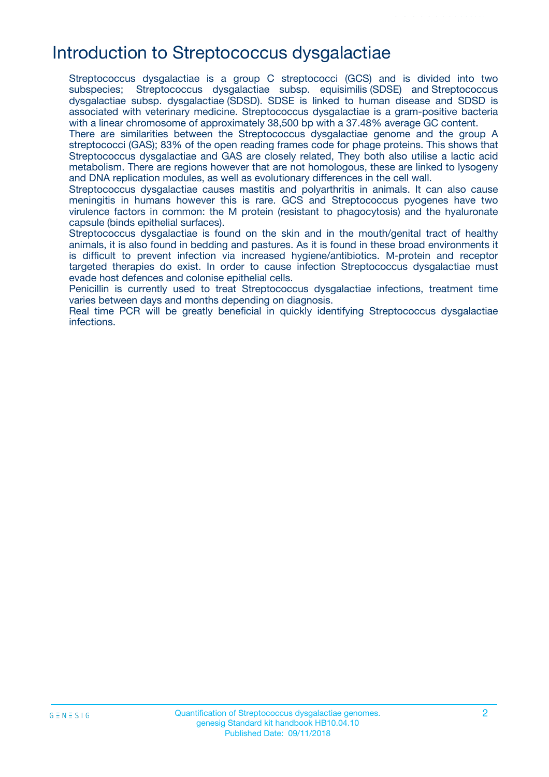# Introduction to Streptococcus dysgalactiae

Streptococcus dysgalactiae is a group C streptococci (GCS) and is divided into two subspecies; Streptococcus dysgalactiae subsp. equisimilis (SDSE) and Streptococcus dysgalactiae subsp. dysgalactiae (SDSD). SDSE is linked to human disease and SDSD is associated with veterinary medicine. Streptococcus dysgalactiae is a gram-positive bacteria with a linear chromosome of approximately 38,500 bp with a 37.48% average GC content.

There are similarities between the Streptococcus dysgalactiae genome and the group A streptococci (GAS); 83% of the open reading frames code for phage proteins. This shows that Streptococcus dysgalactiae and GAS are closely related, They both also utilise a lactic acid metabolism. There are regions however that are not homologous, these are linked to lysogeny and DNA replication modules, as well as evolutionary differences in the cell wall.

Streptococcus dysgalactiae causes mastitis and polyarthritis in animals. It can also cause meningitis in humans however this is rare. GCS and Streptococcus pyogenes have two virulence factors in common: the M protein (resistant to phagocytosis) and the hyaluronate capsule (binds epithelial surfaces).

Streptococcus dysgalactiae is found on the skin and in the mouth/genital tract of healthy animals, it is also found in bedding and pastures. As it is found in these broad environments it is difficult to prevent infection via increased hygiene/antibiotics. M-protein and receptor targeted therapies do exist. In order to cause infection Streptococcus dysgalactiae must evade host defences and colonise epithelial cells.

Penicillin is currently used to treat Streptococcus dysgalactiae infections, treatment time varies between days and months depending on diagnosis.

Real time PCR will be greatly beneficial in quickly identifying Streptococcus dysgalactiae infections.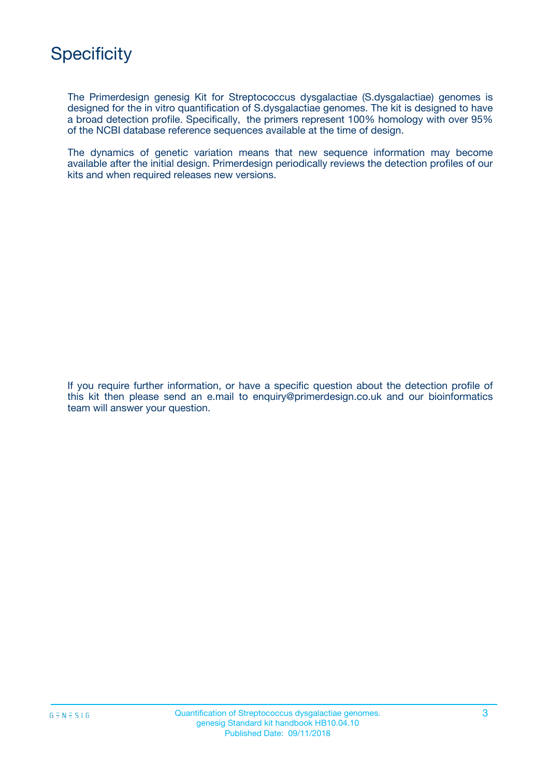

The Primerdesign genesig Kit for Streptococcus dysgalactiae (S.dysgalactiae) genomes is designed for the in vitro quantification of S.dysgalactiae genomes. The kit is designed to have a broad detection profile. Specifically, the primers represent 100% homology with over 95% of the NCBI database reference sequences available at the time of design.

The dynamics of genetic variation means that new sequence information may become available after the initial design. Primerdesign periodically reviews the detection profiles of our kits and when required releases new versions.

If you require further information, or have a specific question about the detection profile of this kit then please send an e.mail to enquiry@primerdesign.co.uk and our bioinformatics team will answer your question.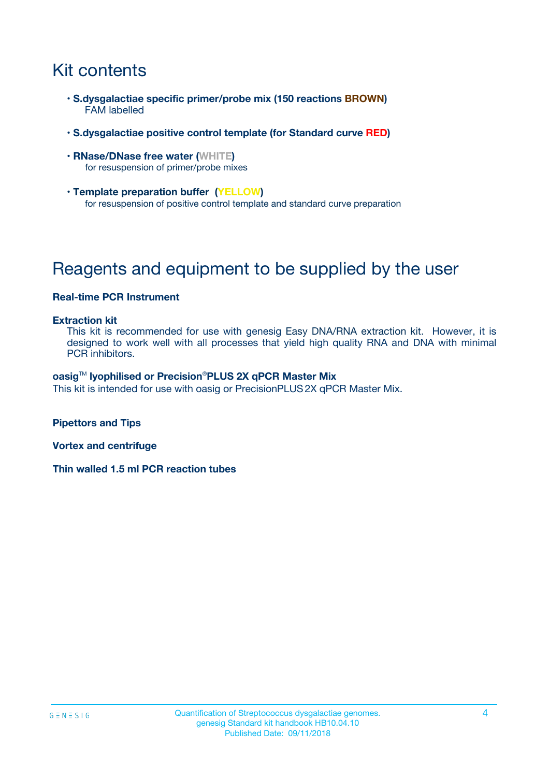# Kit contents

- **S.dysgalactiae specific primer/probe mix (150 reactions BROWN)** FAM labelled
- **S.dysgalactiae positive control template (for Standard curve RED)**
- **RNase/DNase free water (WHITE)** for resuspension of primer/probe mixes
- **Template preparation buffer (YELLOW)** for resuspension of positive control template and standard curve preparation

# Reagents and equipment to be supplied by the user

#### **Real-time PCR Instrument**

#### **Extraction kit**

This kit is recommended for use with genesig Easy DNA/RNA extraction kit. However, it is designed to work well with all processes that yield high quality RNA and DNA with minimal PCR inhibitors.

#### **oasig**TM **lyophilised or Precision**®**PLUS 2X qPCR Master Mix**

This kit is intended for use with oasig or PrecisionPLUS2X qPCR Master Mix.

**Pipettors and Tips**

**Vortex and centrifuge**

**Thin walled 1.5 ml PCR reaction tubes**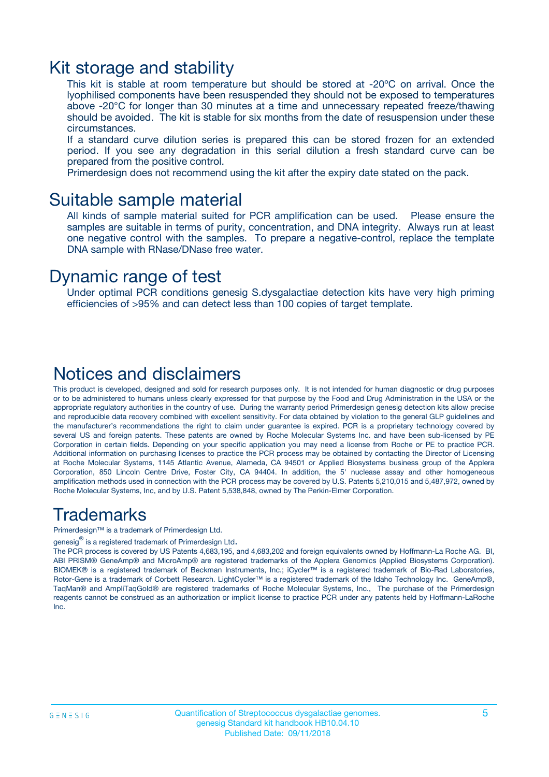### Kit storage and stability

This kit is stable at room temperature but should be stored at -20ºC on arrival. Once the lyophilised components have been resuspended they should not be exposed to temperatures above -20°C for longer than 30 minutes at a time and unnecessary repeated freeze/thawing should be avoided. The kit is stable for six months from the date of resuspension under these circumstances.

If a standard curve dilution series is prepared this can be stored frozen for an extended period. If you see any degradation in this serial dilution a fresh standard curve can be prepared from the positive control.

Primerdesign does not recommend using the kit after the expiry date stated on the pack.

### Suitable sample material

All kinds of sample material suited for PCR amplification can be used. Please ensure the samples are suitable in terms of purity, concentration, and DNA integrity. Always run at least one negative control with the samples. To prepare a negative-control, replace the template DNA sample with RNase/DNase free water.

### Dynamic range of test

Under optimal PCR conditions genesig S.dysgalactiae detection kits have very high priming efficiencies of >95% and can detect less than 100 copies of target template.

### Notices and disclaimers

This product is developed, designed and sold for research purposes only. It is not intended for human diagnostic or drug purposes or to be administered to humans unless clearly expressed for that purpose by the Food and Drug Administration in the USA or the appropriate regulatory authorities in the country of use. During the warranty period Primerdesign genesig detection kits allow precise and reproducible data recovery combined with excellent sensitivity. For data obtained by violation to the general GLP guidelines and the manufacturer's recommendations the right to claim under guarantee is expired. PCR is a proprietary technology covered by several US and foreign patents. These patents are owned by Roche Molecular Systems Inc. and have been sub-licensed by PE Corporation in certain fields. Depending on your specific application you may need a license from Roche or PE to practice PCR. Additional information on purchasing licenses to practice the PCR process may be obtained by contacting the Director of Licensing at Roche Molecular Systems, 1145 Atlantic Avenue, Alameda, CA 94501 or Applied Biosystems business group of the Applera Corporation, 850 Lincoln Centre Drive, Foster City, CA 94404. In addition, the 5' nuclease assay and other homogeneous amplification methods used in connection with the PCR process may be covered by U.S. Patents 5,210,015 and 5,487,972, owned by Roche Molecular Systems, Inc, and by U.S. Patent 5,538,848, owned by The Perkin-Elmer Corporation.

### Trademarks

Primerdesign™ is a trademark of Primerdesign Ltd.

genesig $^\circledR$  is a registered trademark of Primerdesign Ltd.

The PCR process is covered by US Patents 4,683,195, and 4,683,202 and foreign equivalents owned by Hoffmann-La Roche AG. BI, ABI PRISM® GeneAmp® and MicroAmp® are registered trademarks of the Applera Genomics (Applied Biosystems Corporation). BIOMEK® is a registered trademark of Beckman Instruments, Inc.; iCycler™ is a registered trademark of Bio-Rad Laboratories, Rotor-Gene is a trademark of Corbett Research. LightCycler™ is a registered trademark of the Idaho Technology Inc. GeneAmp®, TaqMan® and AmpliTaqGold® are registered trademarks of Roche Molecular Systems, Inc., The purchase of the Primerdesign reagents cannot be construed as an authorization or implicit license to practice PCR under any patents held by Hoffmann-LaRoche Inc.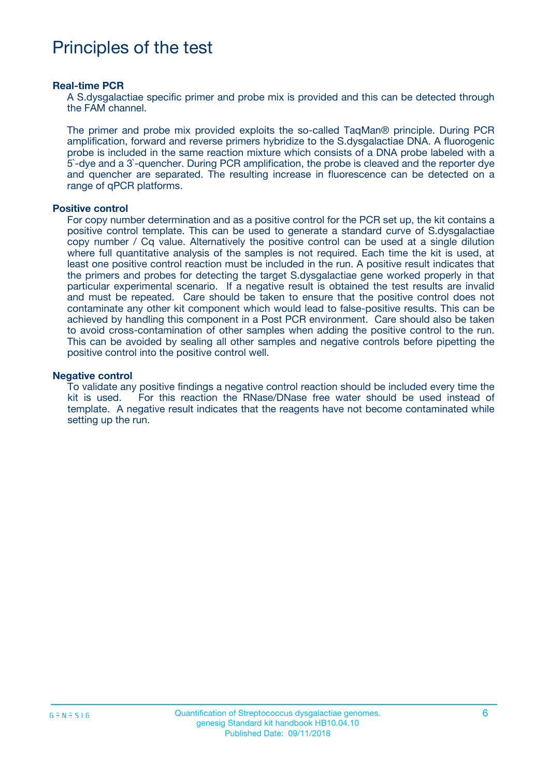# Principles of the test

#### **Real-time PCR**

A S.dysgalactiae specific primer and probe mix is provided and this can be detected through the FAM channel.

The primer and probe mix provided exploits the so-called TaqMan® principle. During PCR amplification, forward and reverse primers hybridize to the S.dysgalactiae DNA. A fluorogenic probe is included in the same reaction mixture which consists of a DNA probe labeled with a 5`-dye and a 3`-quencher. During PCR amplification, the probe is cleaved and the reporter dye and quencher are separated. The resulting increase in fluorescence can be detected on a range of qPCR platforms.

#### **Positive control**

For copy number determination and as a positive control for the PCR set up, the kit contains a positive control template. This can be used to generate a standard curve of S.dysgalactiae copy number / Cq value. Alternatively the positive control can be used at a single dilution where full quantitative analysis of the samples is not required. Each time the kit is used, at least one positive control reaction must be included in the run. A positive result indicates that the primers and probes for detecting the target S.dysgalactiae gene worked properly in that particular experimental scenario. If a negative result is obtained the test results are invalid and must be repeated. Care should be taken to ensure that the positive control does not contaminate any other kit component which would lead to false-positive results. This can be achieved by handling this component in a Post PCR environment. Care should also be taken to avoid cross-contamination of other samples when adding the positive control to the run. This can be avoided by sealing all other samples and negative controls before pipetting the positive control into the positive control well.

#### **Negative control**

To validate any positive findings a negative control reaction should be included every time the kit is used. For this reaction the RNase/DNase free water should be used instead of template. A negative result indicates that the reagents have not become contaminated while setting up the run.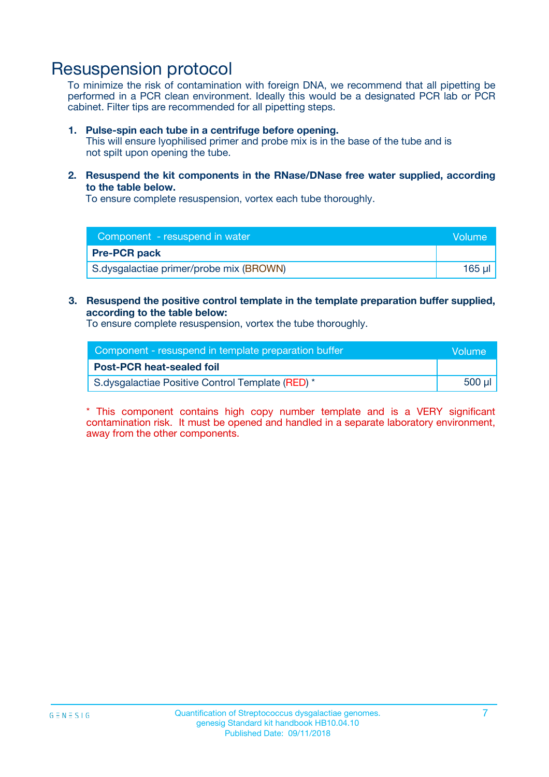## Resuspension protocol

To minimize the risk of contamination with foreign DNA, we recommend that all pipetting be performed in a PCR clean environment. Ideally this would be a designated PCR lab or PCR cabinet. Filter tips are recommended for all pipetting steps.

#### **1. Pulse-spin each tube in a centrifuge before opening.**

This will ensure lyophilised primer and probe mix is in the base of the tube and is not spilt upon opening the tube.

**2. Resuspend the kit components in the RNase/DNase free water supplied, according to the table below.**

To ensure complete resuspension, vortex each tube thoroughly.

| Component - resuspend in water          |        |
|-----------------------------------------|--------|
| <b>Pre-PCR pack</b>                     |        |
| S.dysgalactiae primer/probe mix (BROWN) | 165 ul |

### **3. Resuspend the positive control template in the template preparation buffer supplied, according to the table below:**

To ensure complete resuspension, vortex the tube thoroughly.

| Component - resuspend in template preparation buffer |        |  |
|------------------------------------------------------|--------|--|
| <b>Post-PCR heat-sealed foil</b>                     |        |  |
| S.dysgalactiae Positive Control Template (RED) *     | 500 µl |  |

\* This component contains high copy number template and is a VERY significant contamination risk. It must be opened and handled in a separate laboratory environment, away from the other components.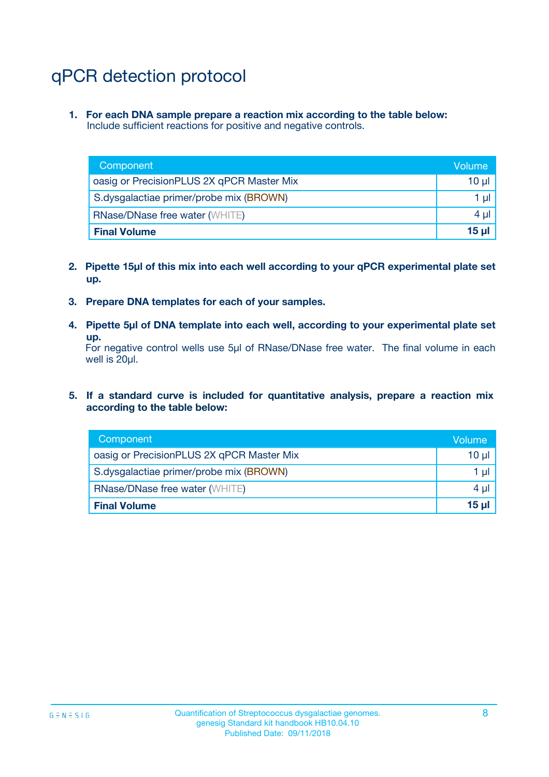# qPCR detection protocol

**1. For each DNA sample prepare a reaction mix according to the table below:** Include sufficient reactions for positive and negative controls.

| Component                                 | Volume           |
|-------------------------------------------|------------------|
| oasig or PrecisionPLUS 2X qPCR Master Mix | $10 \mu$         |
| S.dysgalactiae primer/probe mix (BROWN)   | 1 µl             |
| <b>RNase/DNase free water (WHITE)</b>     | $4 \mu$          |
| <b>Final Volume</b>                       | 15 <sub>ul</sub> |

- **2. Pipette 15µl of this mix into each well according to your qPCR experimental plate set up.**
- **3. Prepare DNA templates for each of your samples.**
- **4. Pipette 5µl of DNA template into each well, according to your experimental plate set up.**

For negative control wells use 5µl of RNase/DNase free water. The final volume in each well is 20µl.

**5. If a standard curve is included for quantitative analysis, prepare a reaction mix according to the table below:**

| Component                                 | Volume   |
|-------------------------------------------|----------|
| oasig or PrecisionPLUS 2X qPCR Master Mix | 10 µl    |
| S.dysgalactiae primer/probe mix (BROWN)   | 1 µI     |
| <b>RNase/DNase free water (WHITE)</b>     | $4 \mu$  |
| <b>Final Volume</b>                       | $15 \mu$ |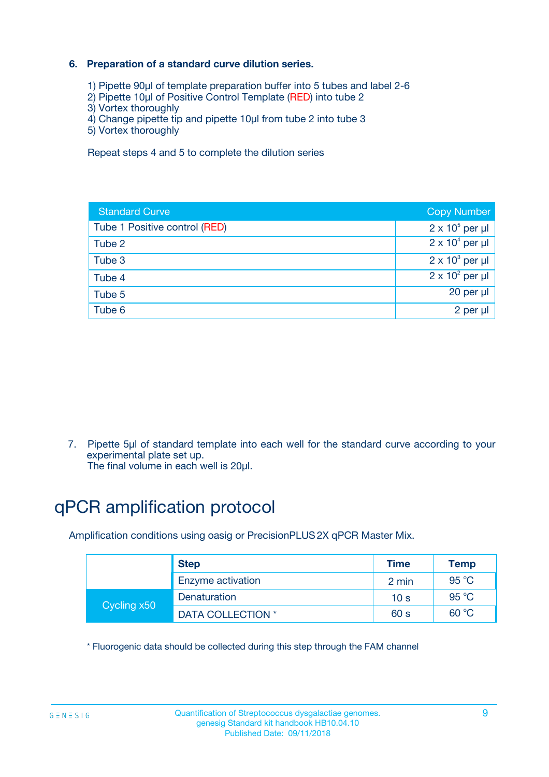### **6. Preparation of a standard curve dilution series.**

- 1) Pipette 90µl of template preparation buffer into 5 tubes and label 2-6
- 2) Pipette 10µl of Positive Control Template (RED) into tube 2
- 3) Vortex thoroughly
- 4) Change pipette tip and pipette 10µl from tube 2 into tube 3
- 5) Vortex thoroughly

Repeat steps 4 and 5 to complete the dilution series

| <b>Standard Curve</b>         | <b>Copy Number</b>     |
|-------------------------------|------------------------|
| Tube 1 Positive control (RED) | $2 \times 10^5$ per µl |
| Tube 2                        | $2 \times 10^4$ per µl |
| Tube 3                        | $2 \times 10^3$ per µl |
| Tube 4                        | $2 \times 10^2$ per µl |
| Tube 5                        | 20 per µl              |
| Tube 6                        | 2 per ul               |

7. Pipette 5µl of standard template into each well for the standard curve according to your experimental plate set up.

The final volume in each well is 20µl.

# qPCR amplification protocol

Amplification conditions using oasig or PrecisionPLUS2X qPCR Master Mix.

|             | <b>Step</b>       | <b>Time</b>     | Temp    |
|-------------|-------------------|-----------------|---------|
|             | Enzyme activation | 2 min           | 95 °C   |
| Cycling x50 | Denaturation      | 10 <sub>s</sub> | 95 $°C$ |
|             | DATA COLLECTION * | 60 s            | 60 °C   |

\* Fluorogenic data should be collected during this step through the FAM channel